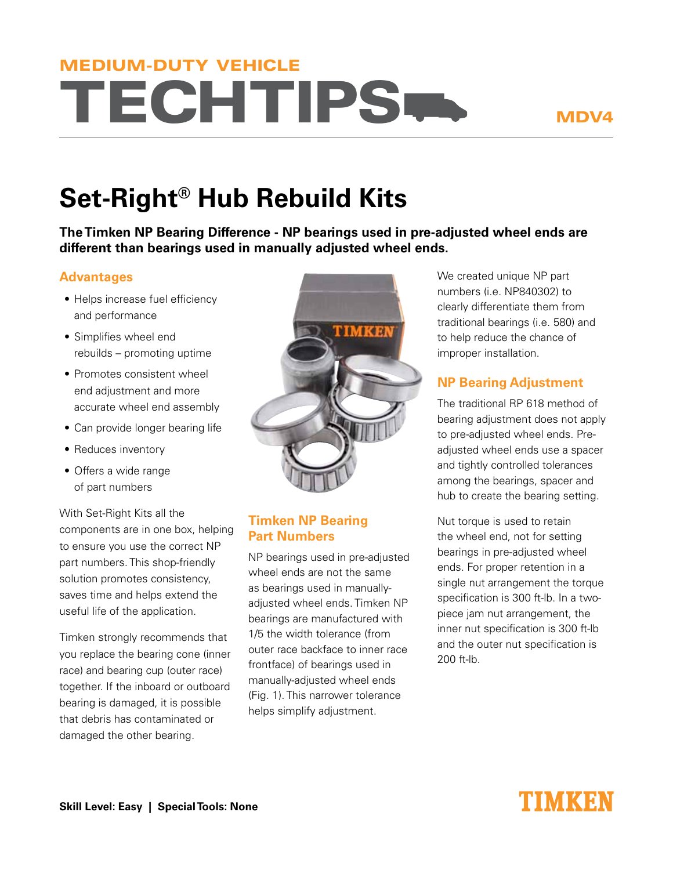# **TECHTIPS.** MEDIUM-DUTY VEHICLE

## MDV4

# **Set-Right® Hub Rebuild Kits**

**The Timken NP Bearing Difference - NP bearings used in pre-adjusted wheel ends are different than bearings used in manually adjusted wheel ends.**

#### **Advantages**

- Helps increase fuel efficiency and performance
- Simplifies wheel end rebuilds – promoting uptime
- Promotes consistent wheel end adjustment and more accurate wheel end assembly
- Can provide longer bearing life
- Reduces inventory
- Offers a wide range of part numbers

With Set-Right Kits all the components are in one box, helping to ensure you use the correct NP part numbers. This shop-friendly solution promotes consistency, saves time and helps extend the useful life of the application.

Timken strongly recommends that you replace the bearing cone (inner race) and bearing cup (outer race) together. If the inboard or outboard bearing is damaged, it is possible that debris has contaminated or damaged the other bearing.



#### **Timken NP Bearing Part Numbers**

NP bearings used in pre-adjusted wheel ends are not the same as bearings used in manuallyadjusted wheel ends. Timken NP bearings are manufactured with 1/5 the width tolerance (from outer race backface to inner race frontface) of bearings used in manually-adjusted wheel ends (Fig. 1). This narrower tolerance helps simplify adjustment.

We created unique NP part numbers (i.e. NP840302) to clearly differentiate them from traditional bearings (i.e. 580) and to help reduce the chance of improper installation.

### **NP Bearing Adjustment**

The traditional RP 618 method of bearing adjustment does not apply to pre-adjusted wheel ends. Preadjusted wheel ends use a spacer and tightly controlled tolerances among the bearings, spacer and hub to create the bearing setting.

Nut torque is used to retain the wheel end, not for setting bearings in pre-adjusted wheel ends. For proper retention in a single nut arrangement the torque specification is 300 ft-lb. In a twopiece jam nut arrangement, the inner nut specification is 300 ft-lb and the outer nut specification is  $200$  ft-lb.